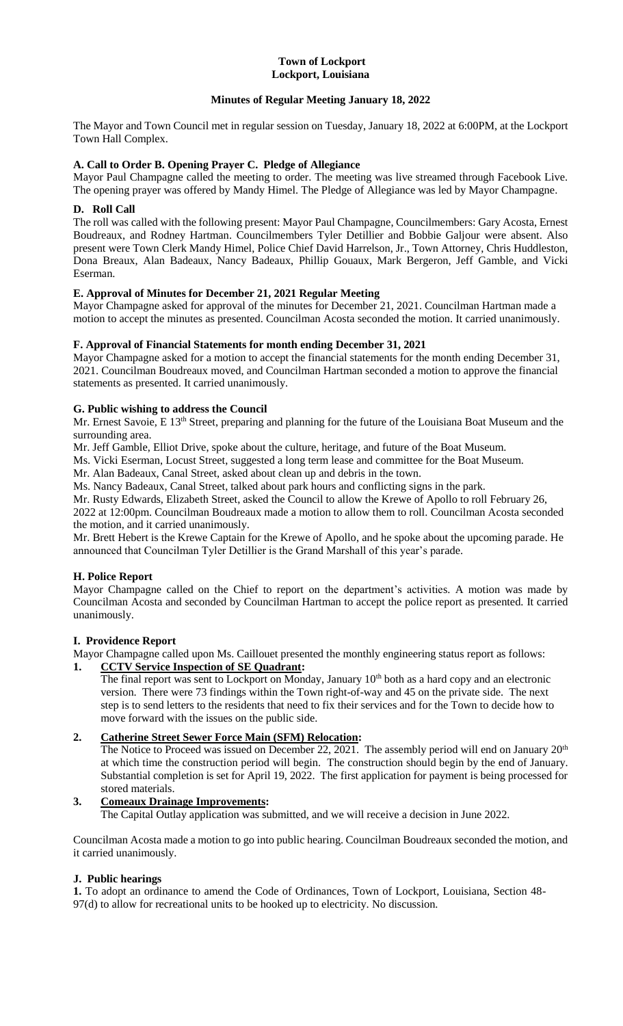#### **Town of Lockport Lockport, Louisiana**

# **Minutes of Regular Meeting January 18, 2022**

The Mayor and Town Council met in regular session on Tuesday, January 18, 2022 at 6:00PM, at the Lockport Town Hall Complex.

# **A. Call to Order B. Opening Prayer C. Pledge of Allegiance**

Mayor Paul Champagne called the meeting to order. The meeting was live streamed through Facebook Live. The opening prayer was offered by Mandy Himel. The Pledge of Allegiance was led by Mayor Champagne.

## **D. Roll Call**

The roll was called with the following present: Mayor Paul Champagne, Councilmembers: Gary Acosta, Ernest Boudreaux, and Rodney Hartman. Councilmembers Tyler Detillier and Bobbie Galjour were absent. Also present were Town Clerk Mandy Himel, Police Chief David Harrelson, Jr., Town Attorney, Chris Huddleston, Dona Breaux, Alan Badeaux, Nancy Badeaux, Phillip Gouaux, Mark Bergeron, Jeff Gamble, and Vicki Eserman.

# **E. Approval of Minutes for December 21, 2021 Regular Meeting**

Mayor Champagne asked for approval of the minutes for December 21, 2021. Councilman Hartman made a motion to accept the minutes as presented. Councilman Acosta seconded the motion. It carried unanimously.

# **F. Approval of Financial Statements for month ending December 31, 2021**

Mayor Champagne asked for a motion to accept the financial statements for the month ending December 31, 2021. Councilman Boudreaux moved, and Councilman Hartman seconded a motion to approve the financial statements as presented. It carried unanimously.

# **G. Public wishing to address the Council**

Mr. Ernest Savoie, E 13<sup>th</sup> Street, preparing and planning for the future of the Louisiana Boat Museum and the surrounding area.

Mr. Jeff Gamble, Elliot Drive, spoke about the culture, heritage, and future of the Boat Museum.

Ms. Vicki Eserman, Locust Street, suggested a long term lease and committee for the Boat Museum.

Mr. Alan Badeaux, Canal Street, asked about clean up and debris in the town.

Ms. Nancy Badeaux, Canal Street, talked about park hours and conflicting signs in the park.

Mr. Rusty Edwards, Elizabeth Street, asked the Council to allow the Krewe of Apollo to roll February 26,

2022 at 12:00pm. Councilman Boudreaux made a motion to allow them to roll. Councilman Acosta seconded the motion, and it carried unanimously.

Mr. Brett Hebert is the Krewe Captain for the Krewe of Apollo, and he spoke about the upcoming parade. He announced that Councilman Tyler Detillier is the Grand Marshall of this year's parade.

# **H. Police Report**

Mayor Champagne called on the Chief to report on the department's activities. A motion was made by Councilman Acosta and seconded by Councilman Hartman to accept the police report as presented. It carried unanimously.

#### **I. Providence Report**

Mayor Champagne called upon Ms. Caillouet presented the monthly engineering status report as follows:

# **1. CCTV Service Inspection of SE Quadrant:**

The final report was sent to Lockport on Monday, January  $10<sup>th</sup>$  both as a hard copy and an electronic version. There were 73 findings within the Town right-of-way and 45 on the private side. The next step is to send letters to the residents that need to fix their services and for the Town to decide how to move forward with the issues on the public side.

# **2. Catherine Street Sewer Force Main (SFM) Relocation:**

The Notice to Proceed was issued on December 22, 2021. The assembly period will end on January 20<sup>th</sup> at which time the construction period will begin. The construction should begin by the end of January. Substantial completion is set for April 19, 2022. The first application for payment is being processed for stored materials.

# **3. Comeaux Drainage Improvements:**

The Capital Outlay application was submitted, and we will receive a decision in June 2022.

Councilman Acosta made a motion to go into public hearing. Councilman Boudreaux seconded the motion, and it carried unanimously.

#### **J. Public hearings**

**1.** To adopt an ordinance to amend the Code of Ordinances, Town of Lockport, Louisiana, Section 48- 97(d) to allow for recreational units to be hooked up to electricity. No discussion.